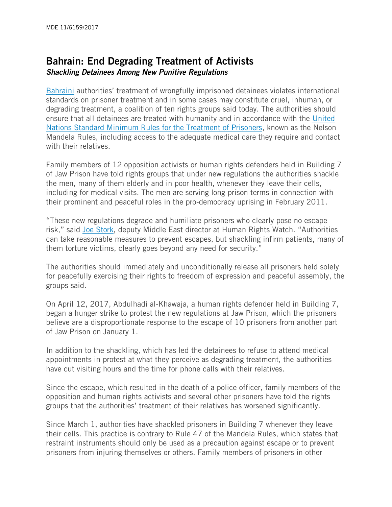## Bahrain: End Degrading Treatment of Activists *Shackling Detainees Among New Punitive Regulations*

[Bahraini](https://www.hrw.org/middle-east/n-africa/bahrain) authorities' treatment of wrongfully imprisoned detainees violates international standards on prisoner treatment and in some cases may constitute cruel, inhuman, or degrading treatment, a coalition of ten rights groups said today. The authorities should ensure that all detainees are treated with humanity and in accordance with the [United](https://www.unodc.org/documents/justice-and-prison-reform/GA-RESOLUTION/E_ebook.pdf)  [Nations Standard Minimum Rules for the Treatment of Prisoners,](https://www.unodc.org/documents/justice-and-prison-reform/GA-RESOLUTION/E_ebook.pdf) known as the Nelson Mandela Rules, including access to the adequate medical care they require and contact with their relatives.

Family members of 12 opposition activists or human rights defenders held in Building 7 of Jaw Prison have told rights groups that under new regulations the authorities shackle the men, many of them elderly and in poor health, whenever they leave their cells, including for medical visits. The men are serving long prison terms in connection with their prominent and peaceful roles in the pro-democracy uprising in February 2011.

"These new regulations degrade and humiliate prisoners who clearly pose no escape risk," said [Joe Stork](https://www.hrw.org/about/people/joe-stork), deputy Middle East director at Human Rights Watch. "Authorities can take reasonable measures to prevent escapes, but shackling infirm patients, many of them torture victims, clearly goes beyond any need for security."

The authorities should immediately and unconditionally release all prisoners held solely for peacefully exercising their rights to freedom of expression and peaceful assembly, the groups said.

On April 12, 2017, Abdulhadi al-Khawaja, a human rights defender held in Building 7, began a hunger strike to protest the new regulations at Jaw Prison, which the prisoners believe are a disproportionate response to the escape of 10 prisoners from another part of Jaw Prison on January 1.

In addition to the shackling, which has led the detainees to refuse to attend medical appointments in protest at what they perceive as degrading treatment, the authorities have cut visiting hours and the time for phone calls with their relatives.

Since the escape, which resulted in the death of a police officer, family members of the opposition and human rights activists and several other prisoners have told the rights groups that the authorities' treatment of their relatives has worsened significantly.

Since March 1, authorities have shackled prisoners in Building 7 whenever they leave their cells. This practice is contrary to Rule 47 of the Mandela Rules, which states that restraint instruments should only be used as a precaution against escape or to prevent prisoners from injuring themselves or others. Family members of prisoners in other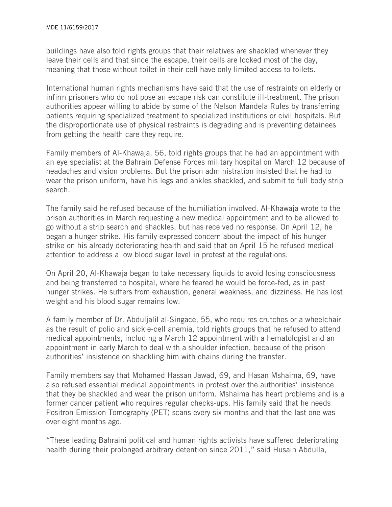buildings have also told rights groups that their relatives are shackled whenever they leave their cells and that since the escape, their cells are locked most of the day, meaning that those without toilet in their cell have only limited access to toilets.

International human rights mechanisms have said that the use of restraints on elderly or infirm prisoners who do not pose an escape risk can constitute ill-treatment. The prison authorities appear willing to abide by some of the Nelson Mandela Rules by transferring patients requiring specialized treatment to specialized institutions or civil hospitals. But the disproportionate use of physical restraints is degrading and is preventing detainees from getting the health care they require.

Family members of Al-Khawaja, 56, told rights groups that he had an appointment with an eye specialist at the Bahrain Defense Forces military hospital on March 12 because of headaches and vision problems. But the prison administration insisted that he had to wear the prison uniform, have his legs and ankles shackled, and submit to full body strip search.

The family said he refused because of the humiliation involved. Al-Khawaja wrote to the prison authorities in March requesting a new medical appointment and to be allowed to go without a strip search and shackles, but has received no response. On April 12, he began a hunger strike. His family expressed concern about the impact of his hunger strike on his already deteriorating health and said that on April 15 he refused medical attention to address a low blood sugar level in protest at the regulations.

On April 20, Al-Khawaja began to take necessary liquids to avoid losing consciousness and being transferred to hospital, where he feared he would be force-fed, as in past hunger strikes. He suffers from exhaustion, general weakness, and dizziness. He has lost weight and his blood sugar remains low.

A family member of Dr. Abduljalil al-Singace, 55, who requires crutches or a wheelchair as the result of polio and sickle-cell anemia, told rights groups that he refused to attend medical appointments, including a March 12 appointment with a hematologist and an appointment in early March to deal with a shoulder infection, because of the prison authorities' insistence on shackling him with chains during the transfer.

Family members say that Mohamed Hassan Jawad, 69, and Hasan Mshaima, 69, have also refused essential medical appointments in protest over the authorities' insistence that they be shackled and wear the prison uniform. Mshaima has heart problems and is a former cancer patient who requires regular checks-ups. His family said that he needs Positron Emission Tomography (PET) scans every six months and that the last one was over eight months ago.

"These leading Bahraini political and human rights activists have suffered deteriorating health during their prolonged arbitrary detention since 2011," said Husain Abdulla,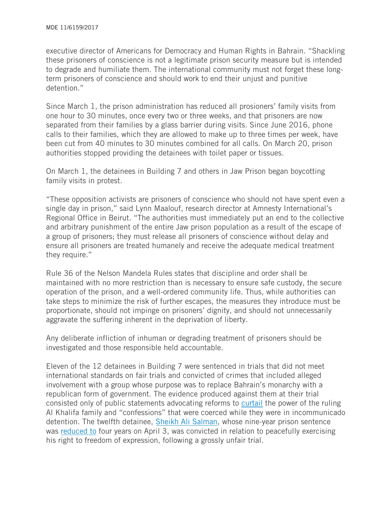executive director of Americans for Democracy and Human Rights in Bahrain. "Shackling these prisoners of conscience is not a legitimate prison security measure but is intended to degrade and humiliate them. The international community must not forget these longterm prisoners of conscience and should work to end their unjust and punitive detention."

Since March 1, the prison administration has reduced all prosioners' family visits from one hour to 30 minutes, once every two or three weeks, and that prisoners are now separated from their families by a glass barrier during visits. Since June 2016, phone calls to their families, which they are allowed to make up to three times per week, have been cut from 40 minutes to 30 minutes combined for all calls. On March 20, prison authorities stopped providing the detainees with toilet paper or tissues.

On March 1, the detainees in Building 7 and others in Jaw Prison began boycotting family visits in protest.

"These opposition activists are prisoners of conscience who should not have spent even a single day in prison," said Lynn Maalouf, research director at Amnesty International's Regional Office in Beirut. "The authorities must immediately put an end to the collective and arbitrary punishment of the entire Jaw prison population as a result of the escape of a group of prisoners; they must release all prisoners of conscience without delay and ensure all prisoners are treated humanely and receive the adequate medical treatment they require."

Rule 36 of the Nelson Mandela Rules states that discipline and order shall be maintained with no more restriction than is necessary to ensure safe custody, the secure operation of the prison, and a well-ordered community life. Thus, while authorities can take steps to minimize the risk of further escapes, the measures they introduce must be proportionate, should not impinge on prisoners' dignity, and should not unnecessarily aggravate the suffering inherent in the deprivation of liberty.

Any deliberate infliction of inhuman or degrading treatment of prisoners should be investigated and those responsible held accountable.

Eleven of the 12 detainees in Building 7 were sentenced in trials that did not meet international standards on fair trials and convicted of crimes that included alleged involvement with a group whose purpose was to replace Bahrain's monarchy with a republican form of government. The evidence produced against them at their trial consisted only of public statements advocating reforms to [curtail](https://www.hrw.org/news/2013/01/07/bahrain-highest-court-upholds-grossly-unfair-convictions) the power of the ruling Al Khalifa family and "confessions" that were coerced while they were in incommunicado detention. The twelfth detainee, [Sheikh Ali Salman,](https://www.hrw.org/news/2016/06/02/bahrain-9-year-sentence-opposition-leader) whose nine-year prison sentence was [reduced to](http://gulfbusiness.com/bahrains-high-court-reduces-sentence-opposition-leader-sheikh-ali-salman/) four years on April 3, was convicted in relation to peacefully exercising his right to freedom of expression, following a grossly unfair trial.